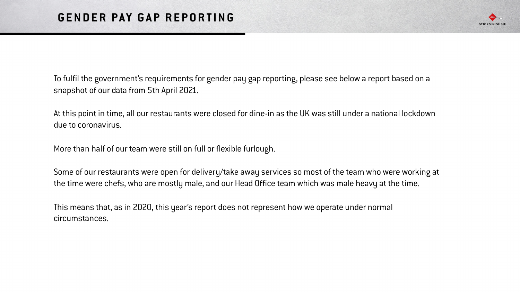

To fulfil the government's requirements for gender pay gap reporting, please see below a report based on a snapshot of our data from 5th April 2021.

At this point in time, all our restaurants were closed for dine-in as the UK was still under a national lockdown due to coronavirus.

More than half of our team were still on full or flexible furlough.

Some of our restaurants were open for delivery/take away services so most of the team who were working at the time were chefs, who are mostly male, and our Head Office team which was male heavy at the time.

This means that, as in 2020, this year's report does not represent how we operate under normal circumstances.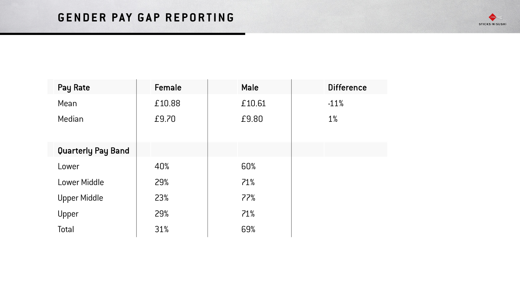## **GENDER PAY GAP REPORTING**



| Pay Rate            | Female | <b>Male</b> | <b>Difference</b> |
|---------------------|--------|-------------|-------------------|
| Mean                | £10.88 | £10.61      | $-11%$            |
| Median              | £9.70  | £9.80       | $1\%$             |
| Quarterly Pay Band  |        |             |                   |
| Lower               | 40%    | 60%         |                   |
| <b>Lower Middle</b> | 29%    | 71%         |                   |
| <b>Upper Middle</b> | 23%    | 77%         |                   |
| Upper               | 29%    | 71%         |                   |
| Total               | 31%    | 69%         |                   |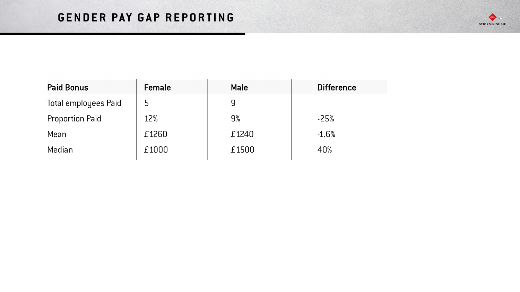## **GENDER PAY GAP REPORTING**



| <b>Paid Bonus</b>           | Female | <b>Male</b> | <b>Difference</b> |
|-----------------------------|--------|-------------|-------------------|
| <b>Total employees Paid</b> | 5      | 9           |                   |
| <b>Proportion Paid</b>      | 12%    | 9%          | $-25%$            |
| Mean                        | £1260  | £1240       | $-1.6%$           |
| Median                      | £1000  | £1500       | 40%               |
|                             |        |             |                   |